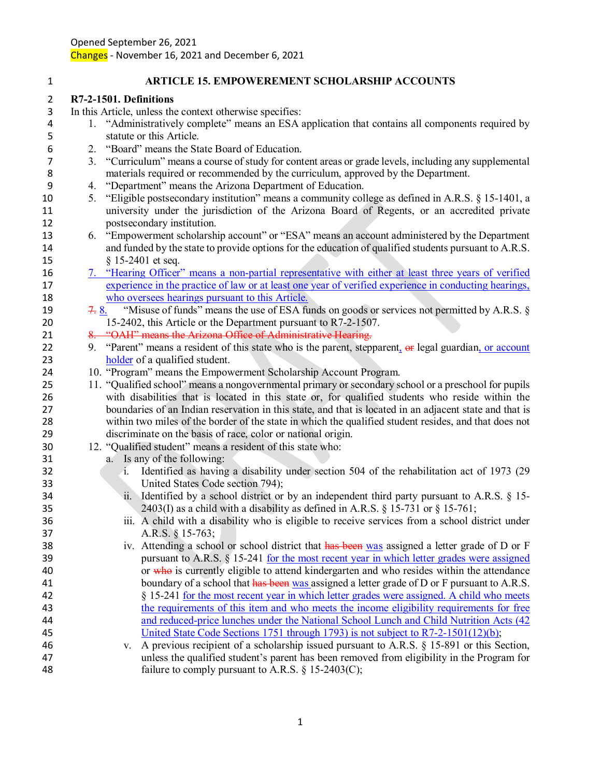**R7-2-1501. Definitions**

**ARTICLE 15. EMPOWEREMENT SCHOLARSHIP ACCOUNTS**

 In this Article, unless the context otherwise specifies: 1. "Administratively complete" means an ESA application that contains all components required by statute or this Article. 2. "Board" means the State Board of Education. 3. "Curriculum" means a course of study for content areas or grade levels, including any supplemental materials required or recommended by the curriculum, approved by the Department. 4. "Department" means the Arizona Department of Education. 5. "Eligible postsecondary institution" means a community college as defined in A.R.S. § 15-1401, a university under the jurisdiction of the Arizona Board of Regents, or an accredited private postsecondary institution. 6. "Empowerment scholarship account" or "ESA" means an account administered by the Department and funded by the state to provide options for the education of qualified students pursuant to A.R.S. § 15-2401 et seq. 7. "Hearing Officer" means a non-partial representative with either at least three years of verified experience in the practice of law or at least one year of verified experience in conducting hearings, who oversees hearings pursuant to this Article. 19 7. 8. "Misuse of funds" means the use of ESA funds on goods or services not permitted by A.R.S. § 15-2402, this Article or the Department pursuant to R7-2-1507. 21 8. "OAH" means the Arizona Office of Administrative Hearing. 22 9. "Parent" means a resident of this state who is the parent, stepparent,  $\Theta$  legal guardian, or account 23 holder of a qualified student. 10. "Program" means the Empowerment Scholarship Account Program. 11. "Qualified school" means a nongovernmental primary or secondary school or a preschool for pupils with disabilities that is located in this state or, for qualified students who reside within the boundaries of an Indian reservation in this state, and that is located in an adjacent state and that is within two miles of the border of the state in which the qualified student resides, and that does not discriminate on the basis of race, color or national origin. 12. "Qualified student" means a resident of this state who: a. Is any of the following: i. Identified as having a disability under section 504 of the rehabilitation act of 1973 (29 United States Code section 794); ii. Identified by a school district or by an independent third party pursuant to A.R.S. § 15- 35 2403(I) as a child with a disability as defined in A.R.S.  $\S$  15-731 or  $\S$  15-761; iii. A child with a disability who is eligible to receive services from a school district under A.R.S. § 15-763; 38 iv. Attending a school or school district that has been was assigned a letter grade of D or F pursuant to A.R.S. § 15-241 for the most recent year in which letter grades were assigned 40 or who is currently eligible to attend kindergarten and who resides within the attendance 41 boundary of a school that has been was assigned a letter grade of D or F pursuant to A.R.S. § 15-241 for the most recent year in which letter grades were assigned. A child who meets the requirements of this item and who meets the income eligibility requirements for free and reduced-price lunches under the National School Lunch and Child Nutrition Acts (42 United State Code Sections 1751 through 1793) is not subject to R7-2-1501(12)(b); v. A previous recipient of a scholarship issued pursuant to A.R.S. § 15-891 or this Section, unless the qualified student's parent has been removed from eligibility in the Program for 48 failure to comply pursuant to A.R.S. § 15-2403(C);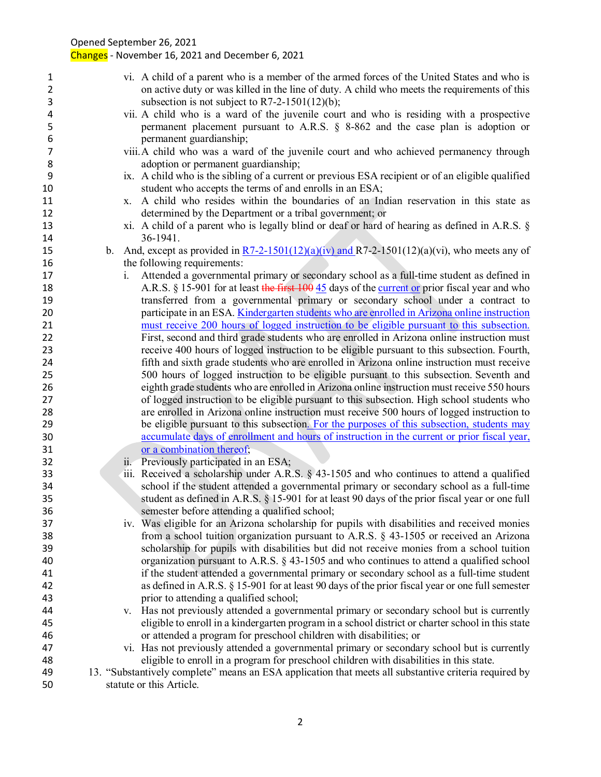|                                     |    | $1101111001$ and $20211100$ becoming                                                                                                                                                                                                             |
|-------------------------------------|----|--------------------------------------------------------------------------------------------------------------------------------------------------------------------------------------------------------------------------------------------------|
| $\mathbf{1}$<br>$\overline{2}$<br>3 |    | vi. A child of a parent who is a member of the armed forces of the United States and who is<br>on active duty or was killed in the line of duty. A child who meets the requirements of this<br>subsection is not subject to $R7-2-1501(12)(b)$ ; |
|                                     |    |                                                                                                                                                                                                                                                  |
| 4<br>5                              |    | vii. A child who is a ward of the juvenile court and who is residing with a prospective<br>permanent placement pursuant to A.R.S. § 8-862 and the case plan is adoption or                                                                       |
| 6                                   |    | permanent guardianship;                                                                                                                                                                                                                          |
| 7                                   |    | viii. A child who was a ward of the juvenile court and who achieved permanency through                                                                                                                                                           |
| 8                                   |    | adoption or permanent guardianship;                                                                                                                                                                                                              |
| 9                                   |    | ix. A child who is the sibling of a current or previous ESA recipient or of an eligible qualified                                                                                                                                                |
| 10                                  |    | student who accepts the terms of and enrolls in an ESA;                                                                                                                                                                                          |
| 11                                  |    | x. A child who resides within the boundaries of an Indian reservation in this state as                                                                                                                                                           |
| 12                                  |    | determined by the Department or a tribal government; or                                                                                                                                                                                          |
| 13                                  |    | xi. A child of a parent who is legally blind or deaf or hard of hearing as defined in A.R.S. §                                                                                                                                                   |
| 14                                  |    | 36-1941.                                                                                                                                                                                                                                         |
| 15                                  | b. | And, except as provided in $R7-2-1501(12)(a)(iv)$ and $R7-2-1501(12)(a)(vi)$ , who meets any of                                                                                                                                                  |
| 16                                  |    | the following requirements:                                                                                                                                                                                                                      |
| 17                                  |    | Attended a governmental primary or secondary school as a full-time student as defined in<br>1.                                                                                                                                                   |
| 18                                  |    | A.R.S. § 15-901 for at least the first 100 45 days of the current or prior fiscal year and who                                                                                                                                                   |
| 19                                  |    | transferred from a governmental primary or secondary school under a contract to                                                                                                                                                                  |
| 20                                  |    | participate in an ESA. Kindergarten students who are enrolled in Arizona online instruction                                                                                                                                                      |
| 21                                  |    | must receive 200 hours of logged instruction to be eligible pursuant to this subsection.                                                                                                                                                         |
| 22                                  |    | First, second and third grade students who are enrolled in Arizona online instruction must                                                                                                                                                       |
|                                     |    |                                                                                                                                                                                                                                                  |
| 23                                  |    | receive 400 hours of logged instruction to be eligible pursuant to this subsection. Fourth,                                                                                                                                                      |
| 24                                  |    | fifth and sixth grade students who are enrolled in Arizona online instruction must receive                                                                                                                                                       |
| 25                                  |    | 500 hours of logged instruction to be eligible pursuant to this subsection. Seventh and                                                                                                                                                          |
| 26                                  |    | eighth grade students who are enrolled in Arizona online instruction must receive 550 hours                                                                                                                                                      |
| 27                                  |    | of logged instruction to be eligible pursuant to this subsection. High school students who                                                                                                                                                       |
| 28                                  |    | are enrolled in Arizona online instruction must receive 500 hours of logged instruction to                                                                                                                                                       |
| 29                                  |    | be eligible pursuant to this subsection. For the purposes of this subsection, students may                                                                                                                                                       |
| 30                                  |    | accumulate days of enrollment and hours of instruction in the current or prior fiscal year,                                                                                                                                                      |
| 31                                  |    | or a combination thereof;                                                                                                                                                                                                                        |
| 32                                  |    | ii. Previously participated in an ESA;                                                                                                                                                                                                           |
| 33                                  |    | iii. Received a scholarship under A.R.S. § 43-1505 and who continues to attend a qualified                                                                                                                                                       |
| 34                                  |    | school if the student attended a governmental primary or secondary school as a full-time                                                                                                                                                         |
| 35                                  |    | student as defined in A.R.S. § 15-901 for at least 90 days of the prior fiscal year or one full                                                                                                                                                  |
| 36                                  |    | semester before attending a qualified school;                                                                                                                                                                                                    |
| 37                                  |    | iv. Was eligible for an Arizona scholarship for pupils with disabilities and received monies                                                                                                                                                     |
| 38                                  |    | from a school tuition organization pursuant to A.R.S. $\S$ 43-1505 or received an Arizona                                                                                                                                                        |
| 39                                  |    | scholarship for pupils with disabilities but did not receive monies from a school tuition                                                                                                                                                        |
|                                     |    |                                                                                                                                                                                                                                                  |
| 40                                  |    | organization pursuant to A.R.S. $\S$ 43-1505 and who continues to attend a qualified school                                                                                                                                                      |
| 41                                  |    | if the student attended a governmental primary or secondary school as a full-time student                                                                                                                                                        |
| 42                                  |    | as defined in A.R.S. § 15-901 for at least 90 days of the prior fiscal year or one full semester                                                                                                                                                 |
| 43                                  |    | prior to attending a qualified school;                                                                                                                                                                                                           |
| 44                                  |    | v. Has not previously attended a governmental primary or secondary school but is currently                                                                                                                                                       |
| 45                                  |    | eligible to enroll in a kindergarten program in a school district or charter school in this state                                                                                                                                                |
| 46                                  |    | or attended a program for preschool children with disabilities; or                                                                                                                                                                               |
| 47                                  |    | vi. Has not previously attended a governmental primary or secondary school but is currently                                                                                                                                                      |
| 48                                  |    | eligible to enroll in a program for preschool children with disabilities in this state.                                                                                                                                                          |
| 49                                  |    | 13. "Substantively complete" means an ESA application that meets all substantive criteria required by                                                                                                                                            |
| 50                                  |    | statute or this Article.                                                                                                                                                                                                                         |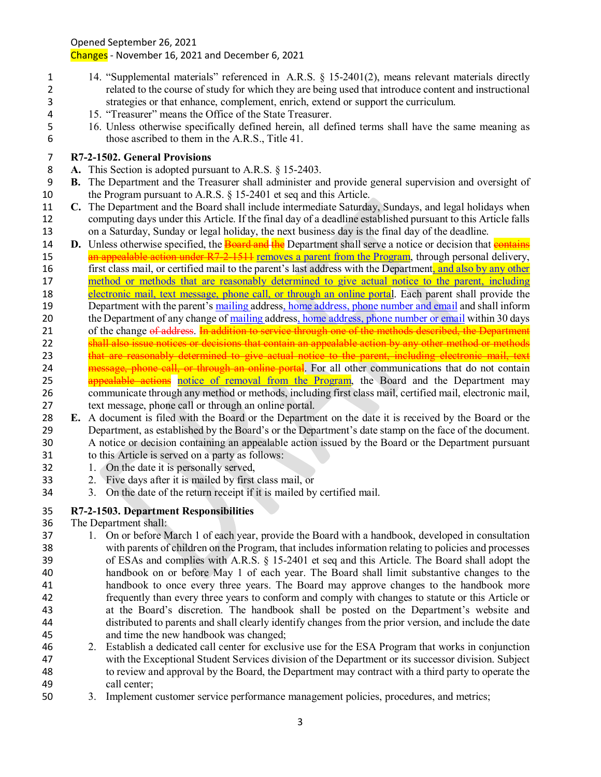Changes - November 16, 2021 and December 6, 2021

- 14. "Supplemental materials" referenced in A.R.S. § 15-2401(2), means relevant materials directly related to the course of study for which they are being used that introduce content and instructional strategies or that enhance, complement, enrich, extend or support the curriculum.
- 15. "Treasurer" means the Office of the State Treasurer.
- 16. Unless otherwise specifically defined herein, all defined terms shall have the same meaning as those ascribed to them in the A.R.S., Title 41.

## **R7-2-1502. General Provisions**

- **A.** This Section is adopted pursuant to A.R.S. § 15-2403.
- **B.** The Department and the Treasurer shall administer and provide general supervision and oversight of 10 the Program pursuant to A.R.S. § 15-2401 et seq and this Article.
- **C.** The Department and the Board shall include intermediate Saturday, Sundays, and legal holidays when computing days under this Article. If the final day of a deadline established pursuant to this Article falls on a Saturday, Sunday or legal holiday, the next business day is the final day of the deadline.
- **D.** Unless otherwise specified, the **Board and the** Department shall serve a notice or decision that **contains** 15 an appealable action under R7-2-1514 removes a parent from the Program, through personal delivery, 16 first class mail, or certified mail to the parent's last address with the Department, and also by any other method or methods that are reasonably determined to give actual notice to the parent, including 18 electronic mail, text message, phone call, or through an online portal. Each parent shall provide the 19 Department with the parent's mailing address, home address, phone number and email and shall inform 20 the Department of any change of mailing address, home address, phone number or email within 30 days 21 of the change of address. In addition to service through one of the methods described, the Department 22 shall also issue notices or decisions that contain an appealable action by any other method or methods 23 that are reasonably determined to give actual notice to the parent, including electronic mail, text 24 message, phone call, or through an online portal. For all other communications that do not contain 25 appealable actions notice of removal from the Program, the Board and the Department may communicate through any method or methods, including first class mail, certified mail, electronic mail, text message, phone call or through an online portal.
- **E.** A document is filed with the Board or the Department on the date it is received by the Board or the Department, as established by the Board's or the Department's date stamp on the face of the document. A notice or decision containing an appealable action issued by the Board or the Department pursuant
- to this Article is served on a party as follows:
- 1. On the date it is personally served,
- 2. Five days after it is mailed by first class mail, or
- 3. On the date of the return receipt if it is mailed by certified mail.

### **R7-2-1503. Department Responsibilities**

- The Department shall:
- 1. On or before March 1 of each year, provide the Board with a handbook, developed in consultation with parents of children on the Program, that includes information relating to policies and processes of ESAs and complies with A.R.S. § 15-2401 et seq and this Article. The Board shall adopt the handbook on or before May 1 of each year. The Board shall limit substantive changes to the handbook to once every three years. The Board may approve changes to the handbook more frequently than every three years to conform and comply with changes to statute or this Article or at the Board's discretion. The handbook shall be posted on the Department's website and distributed to parents and shall clearly identify changes from the prior version, and include the date and time the new handbook was changed;
- 2. Establish a dedicated call center for exclusive use for the ESA Program that works in conjunction with the Exceptional Student Services division of the Department or its successor division. Subject to review and approval by the Board, the Department may contract with a third party to operate the call center;
- 3. Implement customer service performance management policies, procedures, and metrics;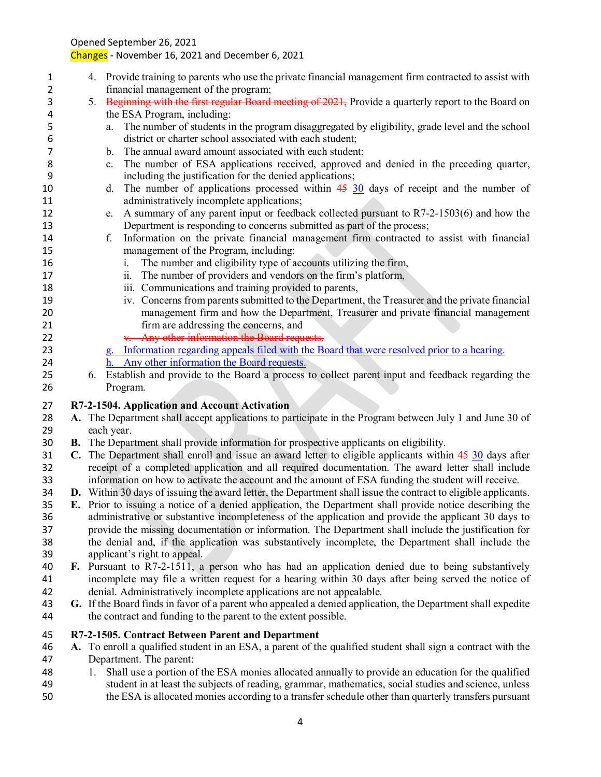Changes - November 16, 2021 and December 6, 2021

- 4. Provide training to parents who use the private financial management firm contracted to assist with financial management of the program;
- 3 5. Beginning with the first regular Board meeting of 2021, Provide a quarterly report to the Board on the ESA Program, including:
- a. The number of students in the program disaggregated by eligibility, grade level and the school district or charter school associated with each student;
- b. The annual award amount associated with each student;
- c. The number of ESA applications received, approved and denied in the preceding quarter, including the justification for the denied applications;
- 10 d. The number of applications processed within 45 30 days of receipt and the number of administratively incomplete applications;
- e. A summary of any parent input or feedback collected pursuant to R7-2-1503(6) and how the Department is responding to concerns submitted as part of the process;
- f. Information on the private financial management firm contracted to assist with financial management of the Program, including:
- i. The number and eligibility type of accounts utilizing the firm,
- ii. The number of providers and vendors on the firm's platform,
- iii. Communications and training provided to parents,
- iv. Concerns from parents submitted to the Department, the Treasurer and the private financial management firm and how the Department, Treasurer and private financial management firm are addressing the concerns, and
- 22 v. Any other information the Board requests.
- g. Information regarding appeals filed with the Board that were resolved prior to a hearing.
- h. Any other information the Board requests.
- 6. Establish and provide to the Board a process to collect parent input and feedback regarding the Program.

## **R7-2-1504. Application and Account Activation**

- **A.** The Department shall accept applications to participate in the Program between July 1 and June 30 of each year.
- **B.** The Department shall provide information for prospective applicants on eligibility.
- **C.** The Department shall enroll and issue an award letter to eligible applicants within 45 30 days after receipt of a completed application and all required documentation. The award letter shall include information on how to activate the account and the amount of ESA funding the student will receive.
- **D.** Within 30 days of issuing the award letter, the Department shall issue the contract to eligible applicants.
- **E.** Prior to issuing a notice of a denied application, the Department shall provide notice describing the administrative or substantive incompleteness of the application and provide the applicant 30 days to provide the missing documentation or information. The Department shall include the justification for the denial and, if the application was substantively incomplete, the Department shall include the applicant's right to appeal.
- **F.** Pursuant to R7-2-1511, a person who has had an application denied due to being substantively incomplete may file a written request for a hearing within 30 days after being served the notice of denial. Administratively incomplete applications are not appealable.
- **G.** If the Board finds in favor of a parent who appealed a denied application, the Department shall expedite the contract and funding to the parent to the extent possible.

### **R7-2-1505. Contract Between Parent and Department**

- **A.** To enroll a qualified student in an ESA, a parent of the qualified student shall sign a contract with the Department. The parent:
- 1. Shall use a portion of the ESA monies allocated annually to provide an education for the qualified student in at least the subjects of reading, grammar, mathematics, social studies and science, unless the ESA is allocated monies according to a transfer schedule other than quarterly transfers pursuant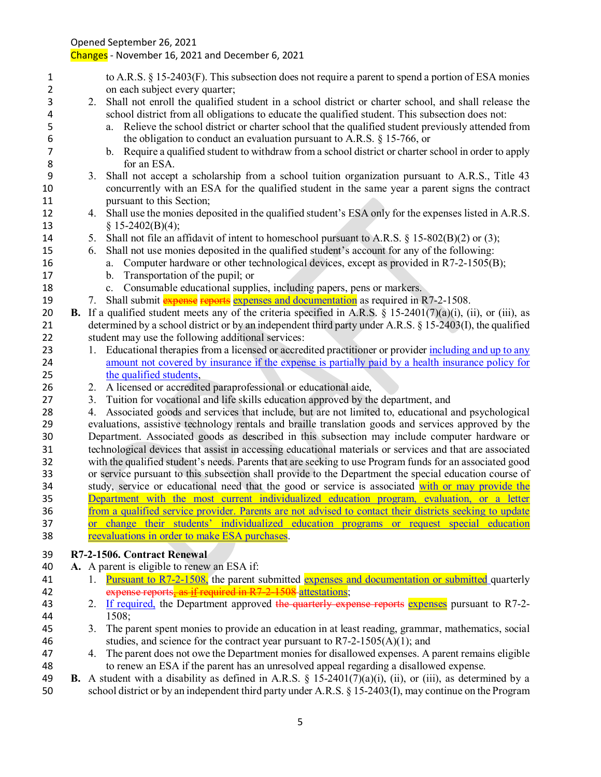- to A.R.S. § 15-2403(F). This subsection does not require a parent to spend a portion of ESA monies on each subject every quarter; 2. Shall not enroll the qualified student in a school district or charter school, and shall release the school district from all obligations to educate the qualified student. This subsection does not: a. Relieve the school district or charter school that the qualified student previously attended from 6 the obligation to conduct an evaluation pursuant to A.R.S. § 15-766, or<br>b. Require a qualified student to withdraw from a school district or charter s b. Require a qualified student to withdraw from a school district or charter school in order to apply for an ESA. 3. Shall not accept a scholarship from a school tuition organization pursuant to A.R.S., Title 43 concurrently with an ESA for the qualified student in the same year a parent signs the contract **pursuant to this Section;**  4. Shall use the monies deposited in the qualified student's ESA only for the expenses listed in A.R.S. § 15-2402(B)(4); 14 5. Shall not file an affidavit of intent to homeschool pursuant to A.R.S. § 15-802(B)(2) or (3); 6. Shall not use monies deposited in the qualified student's account for any of the following: a. Computer hardware or other technological devices, except as provided in R7-2-1505(B); b. Transportation of the pupil; or c. Consumable educational supplies, including papers, pens or markers. 19 7. Shall submit expense reports expenses and documentation as required in R7-2-1508. **B.** If a qualified student meets any of the criteria specified in A.R.S. § 15-2401(7)(a)(i), (ii), or (iii), as determined by a school district or by an independent third party under A.R.S. § 15-2403(I), the qualified student may use the following additional services: 23 1. Educational therapies from a licensed or accredited practitioner or provider including and up to any amount not covered by insurance if the expense is partially paid by a health insurance policy for the qualified students, 2. A licensed or accredited paraprofessional or educational aide, 3. Tuition for vocational and life skills education approved by the department, and 4. Associated goods and services that include, but are not limited to, educational and psychological evaluations, assistive technology rentals and braille translation goods and services approved by the Department. Associated goods as described in this subsection may include computer hardware or technological devices that assist in accessing educational materials or services and that are associated with the qualified student's needs. Parents that are seeking to use Program funds for an associated good or service pursuant to this subsection shall provide to the Department the special education course of 34 study, service or educational need that the good or service is associated with or may provide the Department with the most current individualized education program, evaluation, or a letter from a qualified service provider. Parents are not advised to contact their districts seeking to update or change their students' individualized education programs or request special education reevaluations in order to make ESA purchases. **R7-2-1506. Contract Renewal A.** A parent is eligible to renew an ESA if: 41 1. Pursuant to R7-2-1508, the parent submitted expenses and documentation or submitted quarterly 42 expense reports, as if required in R7-2-1508 attestations; 43 2. If required, the Department approved the quarterly expense reports expenses pursuant to R7-2- 1508; 3. The parent spent monies to provide an education in at least reading, grammar, mathematics, social 46 studies, and science for the contract year pursuant to  $R7-2-1505(A)(1)$ ; and 4. The parent does not owe the Department monies for disallowed expenses. A parent remains eligible
- to renew an ESA if the parent has an unresolved appeal regarding a disallowed expense. **B.** A student with a disability as defined in A.R.S. § 15-2401(7)(a)(i), (ii), or (iii), as determined by a
- school district or by an independent third party under A.R.S. § 15-2403(I), may continue on the Program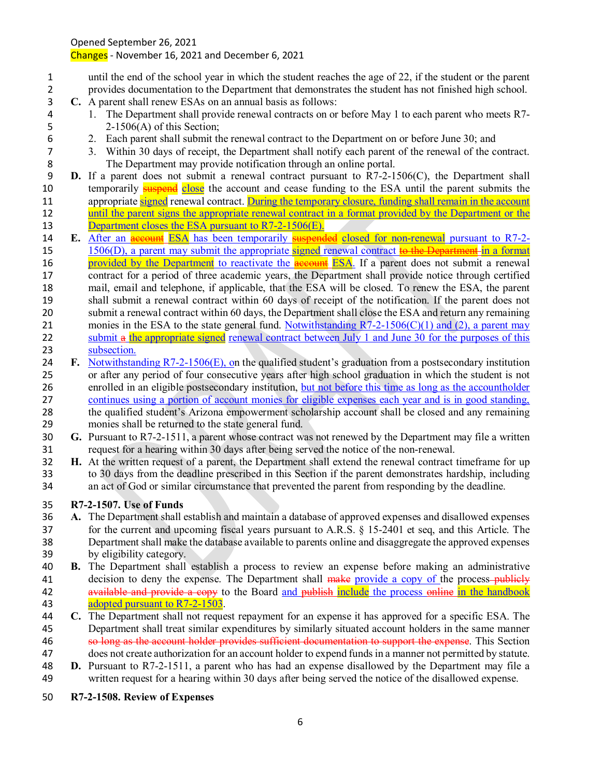Changes - November 16, 2021 and December 6, 2021

- until the end of the school year in which the student reaches the age of 22, if the student or the parent provides documentation to the Department that demonstrates the student has not finished high school.
- **C.** A parent shall renew ESAs on an annual basis as follows:
- 1. The Department shall provide renewal contracts on or before May 1 to each parent who meets R7- 2-1506(A) of this Section;
	-
- 6 2. Each parent shall submit the renewal contract to the Department on or before June 30; and 3. Within 30 days of receipt, the Department shall notify each parent of the renewal of the co 3. Within 30 days of receipt, the Department shall notify each parent of the renewal of the contract. The Department may provide notification through an online portal.
- **D.** If a parent does not submit a renewal contract pursuant to R7-2-1506(C), the Department shall 10 temporarily **suspend** close the account and cease funding to the ESA until the parent submits the 11 appropriate signed renewal contract. During the temporary closure, funding shall remain in the account until the parent signs the appropriate renewal contract in a format provided by the Department or the 13 Department closes the ESA pursuant to R7-2-1506(E).
- **E.** After an **account ESA** has been temporarily **suspended** closed for non-renewal pursuant to R7-2-15 1506(D), a parent may submit the appropriate signed renewal contract to the Department in a format 16 provided by the Department to reactivate the **account** ESA. If a parent does not submit a renewal contract for a period of three academic years, the Department shall provide notice through certified mail, email and telephone, if applicable, that the ESA will be closed. To renew the ESA, the parent shall submit a renewal contract within 60 days of receipt of the notification. If the parent does not submit a renewal contract within 60 days, the Department shall close the ESA and return any remaining 21 monies in the ESA to the state general fund. Notwithstanding  $R7-2-1506(C)(1)$  and (2), a parent may 22 submit a the appropriate signed renewal contract between July 1 and June 30 for the purposes of this subsection.
- **F.** Notwithstanding R7-2-1506(E), on the qualified student's graduation from a postsecondary institution or after any period of four consecutive years after high school graduation in which the student is not enrolled in an eligible postsecondary institution, but not before this time as long as the accountholder continues using a portion of account monies for eligible expenses each year and is in good standing, the qualified student's Arizona empowerment scholarship account shall be closed and any remaining monies shall be returned to the state general fund.
- **G.** Pursuant to R7-2-1511, a parent whose contract was not renewed by the Department may file a written request for a hearing within 30 days after being served the notice of the non-renewal.
- **H.** At the written request of a parent, the Department shall extend the renewal contract timeframe for up to 30 days from the deadline prescribed in this Section if the parent demonstrates hardship, including an act of God or similar circumstance that prevented the parent from responding by the deadline.

## **R7-2-1507. Use of Funds**

- **A.** The Department shall establish and maintain a database of approved expenses and disallowed expenses for the current and upcoming fiscal years pursuant to A.R.S. § 15-2401 et seq, and this Article. The Department shall make the database available to parents online and disaggregate the approved expenses by eligibility category.
- **B.** The Department shall establish a process to review an expense before making an administrative 41 decision to deny the expense. The Department shall make provide a copy of the process-publicly 42 available and provide a copy to the Board and publish include the process online in the handbook 43 adopted pursuant to R7-2-1503.
- **C.** The Department shall not request repayment for an expense it has approved for a specific ESA. The Department shall treat similar expenditures by similarly situated account holders in the same manner 46 so long as the account holder provides sufficient documentation to support the expense. This Section
- does not create authorization for an account holder to expend funds in a manner not permitted by statute. **D.** Pursuant to R7-2-1511, a parent who has had an expense disallowed by the Department may file a
- written request for a hearing within 30 days after being served the notice of the disallowed expense.
- **R7-2-1508. Review of Expenses**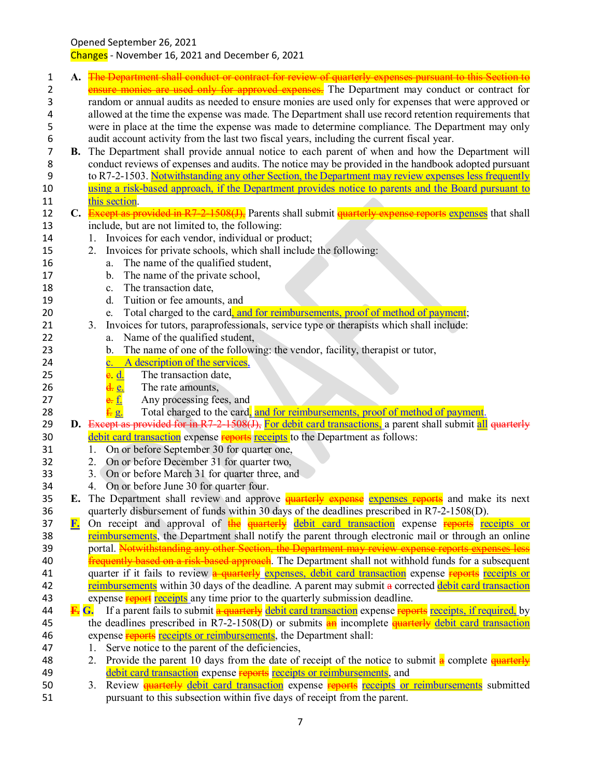Opened September 26, 2021 Changes - November 16, 2021 and December 6, 2021

1 **A.** The Department shall conduct or contract for review of quarterly expenses pursuant to this Section to **EXECUTE:** ensure monies are used only for approved expenses. The Department may conduct or contract for 3 random or annual audits as needed to ensure monies are used only for expenses that were approved or 4 allowed at the time the expense was made. The Department shall use record retention requirements that<br>5 were in place at the time the expense was made to determine compliance. The Department may only were in place at the time the expense was made to determine compliance. The Department may only 6 audit account activity from the last two fiscal years, including the current fiscal year.<br> **B.** The Department shall provide annual notice to each parent of when and how the **B.** The Department shall provide annual notice to each parent of when and how the Department will 8 conduct reviews of expenses and audits. The notice may be provided in the handbook adopted pursuant 9 to R7-2-1503. Notwithstanding any other Section, the Department may review expenses less frequently 10 using a risk-based approach, if the Department provides notice to parents and the Board pursuant to 11 this section. 12 **C.** Except as provided in R7-2-1508(J), Parents shall submit quarterly expense reports expenses that shall 13 include, but are not limited to, the following: 14 1. Invoices for each vendor, individual or product; 15 2. Invoices for private schools, which shall include the following: 16 a. The name of the qualified student, 17 b. The name of the private school, 18 c. The transaction date, 19 d. Tuition or fee amounts, and 20 e. Total charged to the card, and for reimbursements, proof of method of payment; 21 3. Invoices for tutors, paraprofessionals, service type or therapists which shall include: 22 a. Name of the qualified student, 23 b. The name of one of the following: the vendor, facility, therapist or tutor, 24 c. A description of the services, 25 e. d. The transaction date, 26 d. e. The rate amounts, 27 **e.**  $\frac{e}{2}$  Any processing fees, and 28 **f. g.** Total charged to the card, and for reimbursements, proof of method of payment. 29 **D.** Except as provided for in R7-2-1508(J), For debit card transactions, a parent shall submit all quarterly 30 debit card transaction expense reports receipts to the Department as follows: 31 1. On or before September 30 for quarter one, 32 2. On or before December 31 for quarter two, 33 3. On or before March 31 for quarter three, and 34 4. On or before June 30 for quarter four. 35 **E.** The Department shall review and approve quarterly expense expenses reports and make its next 36 quarterly disbursement of funds within 30 days of the deadlines prescribed in R7-2-1508(D). 37 **F.** On receipt and approval of the quarterly debit card transaction expense reports receipts or **38 reimbursements**, the Department shall notify the parent through electronic mail or through an online 39 portal. Notwithstanding any other Section, the Department may review expense reports expenses less 40 **frequently based on a risk-based approach**. The Department shall not withhold funds for a subsequent 41 quarter if it fails to review a quarterly expenses, debit card transaction expense reports receipts or 42 reimbursements within 30 days of the deadline. A parent may submit a corrected debit card transaction 43 expense report receipts any time prior to the quarterly submission deadline. 44 **F.** G. If a parent fails to submit a quarterly debit card transaction expense reports receipts, if required, by 45 the deadlines prescribed in R7-2-1508(D) or submits  $\frac{d}{dt}$  incomplete  $\frac{d}{dt}$  debit card transaction 46 expense **reports** receipts or reimbursements, the Department shall: 47 1. Serve notice to the parent of the deficiencies, 48 2. Provide the parent 10 days from the date of receipt of the notice to submit  $\frac{d}{dx}$  complete  $\frac{d}{dx}$ 49 debit card transaction expense reports receipts or reimbursements, and 50 3. Review **quarterly** debit card transaction expense reports receipts or reimbursements submitted 51 pursuant to this subsection within five days of receipt from the parent.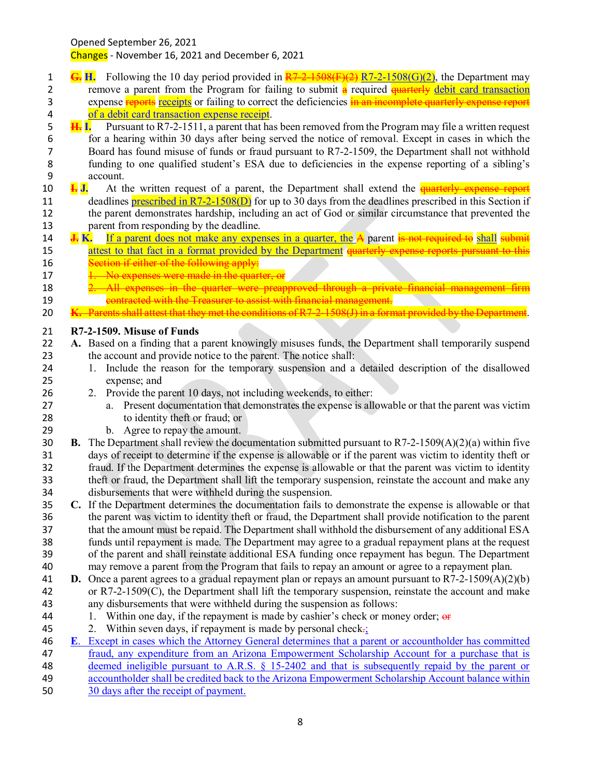Changes - November 16, 2021 and December 6, 2021

- **G. H.** Following the 10 day period provided in R7-2-1508(F)(2) R7-2-1508(G)(2), the Department may 2 remove a parent from the Program for failing to submit  $\frac{a}{r}$  required  $\frac{a}{r}$  equarterly debit card transaction 3 expense **reports** receipts or failing to correct the deficiencies in an incomplete quarterly expense report 4 of a debit card transaction expense receipt.<br>5 **H.** I. Pursuant to R7-2-1511, a parent that ha
- **H. I.** Pursuant to R7-2-1511, a parent that has been removed from the Program may file a written request 6 for a hearing within 30 days after being served the notice of removal. Except in cases in which the Board has found misuse of funds or fraud pursuant to R7-2-1509, the Department shall not withhold Board has found misuse of funds or fraud pursuant to R7-2-1509, the Department shall not withhold funding to one qualified student's ESA due to deficiencies in the expense reporting of a sibling's 9 account.<br>10 **1.** J. At the
- **I. J.** At the written request of a parent, the Department shall extend the quarterly expense report 11 deadlines **prescribed in R7-2-1508(D)** for up to 30 days from the deadlines prescribed in this Section if the parent demonstrates hardship, including an act of God or similar circumstance that prevented the parent from responding by the deadline.
- **J. K.** If a parent does not make any expenses in a quarter, the A parent is not required to shall submit 15 attest to that fact in a format provided by the Department quarterly expense reports pursuant to this<br>16 Section if either of the following apply: Section if either of the following apply:
- 17 1. No expenses were made in the quarter, or
- 18 2. All expenses in the quarter were preapproved through a private financial management firm **19 contracted with the Treasurer to assist with financial management.**
- **K.** Parents shall attest that they met the conditions of R7-2-1508(J) in a format provided by the Department.

### **R7-2-1509. Misuse of Funds**

- **A.** Based on a finding that a parent knowingly misuses funds, the Department shall temporarily suspend the account and provide notice to the parent. The notice shall:
- 1. Include the reason for the temporary suspension and a detailed description of the disallowed expense; and
- 2. Provide the parent 10 days, not including weekends, to either:
- a. Present documentation that demonstrates the expense is allowable or that the parent was victim to identity theft or fraud; or
- b. Agree to repay the amount.
- **B.** The Department shall review the documentation submitted pursuant to R7-2-1509(A)(2)(a) within five days of receipt to determine if the expense is allowable or if the parent was victim to identity theft or fraud. If the Department determines the expense is allowable or that the parent was victim to identity theft or fraud, the Department shall lift the temporary suspension, reinstate the account and make any disbursements that were withheld during the suspension.
- **C.** If the Department determines the documentation fails to demonstrate the expense is allowable or that the parent was victim to identity theft or fraud, the Department shall provide notification to the parent that the amount must be repaid. The Department shall withhold the disbursement of any additional ESA funds until repayment is made. The Department may agree to a gradual repayment plans at the request of the parent and shall reinstate additional ESA funding once repayment has begun. The Department may remove a parent from the Program that fails to repay an amount or agree to a repayment plan.
- **D.** Once a parent agrees to a gradual repayment plan or repays an amount pursuant to R7-2-1509(A)(2)(b) or R7-2-1509(C), the Department shall lift the temporary suspension, reinstate the account and make
- any disbursements that were withheld during the suspension as follows:
- 44 1. Within one day, if the repayment is made by cashier's check or money order;  $\theta$
- 45 2. Within seven days, if repayment is made by personal check $\pm$ ;
- **E**. Except in cases which the Attorney General determines that a parent or accountholder has committed
- fraud, any expenditure from an Arizona Empowerment Scholarship Account for a purchase that is

deemed ineligible pursuant to A.R.S. § 15-2402 and that is subsequently repaid by the parent or

- accountholder shall be credited back to the Arizona Empowerment Scholarship Account balance within
- 30 days after the receipt of payment.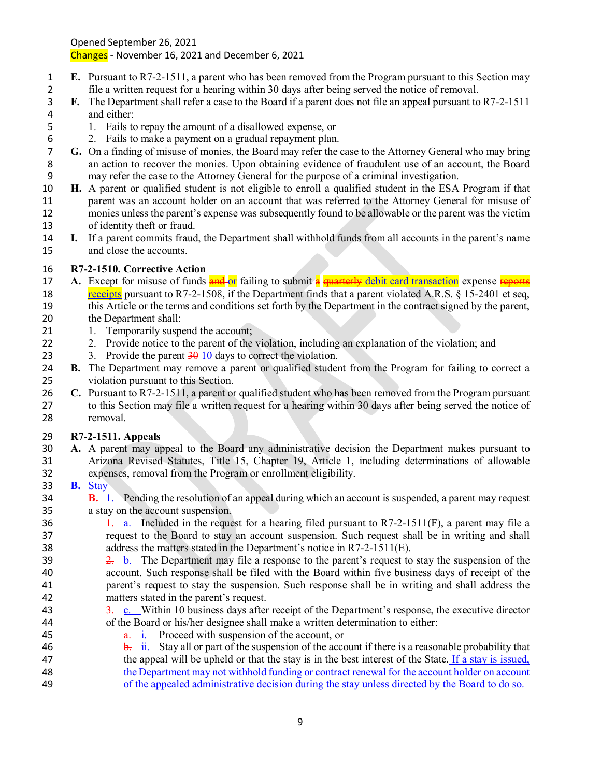Changes - November 16, 2021 and December 6, 2021

- **E.** Pursuant to R7-2-1511, a parent who has been removed from the Program pursuant to this Section may file a written request for a hearing within 30 days after being served the notice of removal.
- **F.** The Department shall refer a case to the Board if a parent does not file an appeal pursuant to R7-2-1511 and either:
- 1. Fails to repay the amount of a disallowed expense, or
	-
- 6 2. Fails to make a payment on a gradual repayment plan.<br>7 G. On a finding of misuse of monies, the Board may refer the c **G.** On a finding of misuse of monies, the Board may refer the case to the Attorney General who may bring an action to recover the monies. Upon obtaining evidence of fraudulent use of an account, the Board may refer the case to the Attorney General for the purpose of a criminal investigation.
- **H.** A parent or qualified student is not eligible to enroll a qualified student in the ESA Program if that parent was an account holder on an account that was referred to the Attorney General for misuse of monies unless the parent's expense was subsequently found to be allowable or the parent was the victim of identity theft or fraud.
- **I.** If a parent commits fraud, the Department shall withhold funds from all accounts in the parent's name and close the accounts.

# **R7-2-1510. Corrective Action**

- **A.** Except for misuse of funds **and or** failing to submit a **quarterly debit card transaction** expense reports 18 receipts pursuant to R7-2-1508, if the Department finds that a parent violated A.R.S. § 15-2401 et seq, this Article or the terms and conditions set forth by the Department in the contract signed by the parent, the Department shall:
- 21 1. Temporarily suspend the account;
- 22 2. Provide notice to the parent of the violation, including an explanation of the violation; and
- 23 3. Provide the parent  $\frac{30}{10}$  days to correct the violation.
- **B.** The Department may remove a parent or qualified student from the Program for failing to correct a violation pursuant to this Section.
- **C.** Pursuant to R7-2-1511, a parent or qualified student who has been removed from the Program pursuant to this Section may file a written request for a hearing within 30 days after being served the notice of removal.

## **R7-2-1511. Appeals**

 **A.** A parent may appeal to the Board any administrative decision the Department makes pursuant to Arizona Revised Statutes, Title 15, Chapter 19, Article 1, including determinations of allowable expenses, removal from the Program or enrollment eligibility.

## **B.** Stay

- **B.** 1. Pending the resolution of an appeal during which an account is suspended, a parent may request a stay on the account suspension.
- 36  $\frac{1}{2}$ . Included in the request for a hearing filed pursuant to R7-2-1511(F), a parent may file a request to the Board to stay an account suspension. Such request shall be in writing and shall address the matters stated in the Department's notice in R7-2-1511(E).
- $\frac{2}{2}$  b. The Department may file a response to the parent's request to stay the suspension of the account. Such response shall be filed with the Board within five business days of receipt of the parent's request to stay the suspension. Such response shall be in writing and shall address the matters stated in the parent's request.
- 43 3. c. Within 10 business days after receipt of the Department's response, the executive director of the Board or his/her designee shall make a written determination to either:
- **a.** i. Proceed with suspension of the account, or 46 b. ii. Stay all or part of the suspension of the account if there is a reasonable probability that 47 the appeal will be upheld or that the stay is in the best interest of the State. If a stay is issued, the Department may not withhold funding or contract renewal for the account holder on account
- of the appealed administrative decision during the stay unless directed by the Board to do so.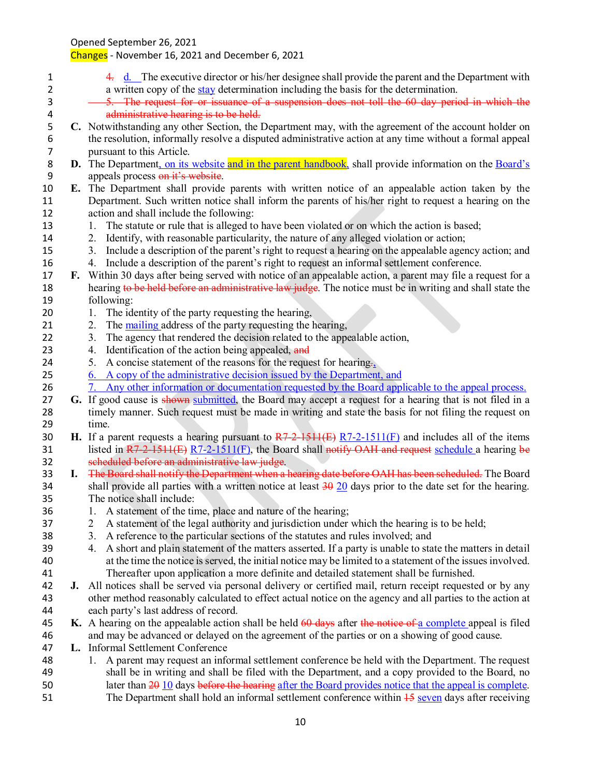- 4. d. The executive director or his/her designee shall provide the parent and the Department with a written copy of the stay determination including the basis for the determination.
- 5. The request for or issuance of a suspension does not toll the 60 day period in which the 4 **administrative hearing is to be held.**<br>5 **C.** Notwithstanding any other Section, the I
- **C.** Notwithstanding any other Section, the Department may, with the agreement of the account holder on the resolution, informally resolve a disputed administrative action at any time without a formal appeal pursuant to this Article.
- **D.** The Department, on its website and in the parent handbook, shall provide information on the Board's 9 appeals process on it's website.
- **E.** The Department shall provide parents with written notice of an appealable action taken by the Department. Such written notice shall inform the parents of his/her right to request a hearing on the action and shall include the following:
- 13 1. The statute or rule that is alleged to have been violated or on which the action is based;
- 2. Identify, with reasonable particularity, the nature of any alleged violation or action;
- 3. Include a description of the parent's right to request a hearing on the appealable agency action; and 4. Include a description of the parent's right to request an informal settlement conference.
- **F.** Within 30 days after being served with notice of an appealable action, a parent may file a request for a 18 hearing to be held before an administrative law judge. The notice must be in writing and shall state the following:
- 20 1. The identity of the party requesting the hearing,
- 21 2. The mailing address of the party requesting the hearing,
- 22 3. The agency that rendered the decision related to the appealable action,
- 23 4. Identification of the action being appealed, and
- 24 5. A concise statement of the reasons for the request for hearing.
- 6. A copy of the administrative decision issued by the Department, and
- 7. Any other information or documentation requested by the Board applicable to the appeal process.
- **G.** If good cause is shown submitted, the Board may accept a request for a hearing that is not filed in a timely manner. Such request must be made in writing and state the basis for not filing the request on time.
- **H.** If a parent requests a hearing pursuant to R7-2-1511(E) R7-2-1511(F) and includes all of the items 31 listed in R7-2-1511(E) R7-2-1511(F), the Board shall notify OAH and request schedule a hearing be scheduled before an administrative law judge.
- **I.** The Board shall notify the Department when a hearing date before OAH has been scheduled. The Board 34 shall provide all parties with a written notice at least  $\frac{30}{20}$  days prior to the date set for the hearing. The notice shall include:
- 1. A statement of the time, place and nature of the hearing;
- 2 A statement of the legal authority and jurisdiction under which the hearing is to be held;
- 3. A reference to the particular sections of the statutes and rules involved; and
- 4. A short and plain statement of the matters asserted. If a party is unable to state the matters in detail at the time the notice is served, the initial notice may be limited to a statement of the issues involved. Thereafter upon application a more definite and detailed statement shall be furnished.
- **J.** All notices shall be served via personal delivery or certified mail, return receipt requested or by any other method reasonably calculated to effect actual notice on the agency and all parties to the action at each party's last address of record.
- **K.** A hearing on the appealable action shall be held 60 days after the notice of a complete appeal is filed and may be advanced or delayed on the agreement of the parties or on a showing of good cause.
- **L.** Informal Settlement Conference
- 1. A parent may request an informal settlement conference be held with the Department. The request shall be in writing and shall be filed with the Department, and a copy provided to the Board, no 50 later than  $\frac{20 \text{ 10}}{20}$  days before the hearing after the Board provides notice that the appeal is complete.
- 51 The Department shall hold an informal settlement conference within  $\frac{15}{15}$  seven days after receiving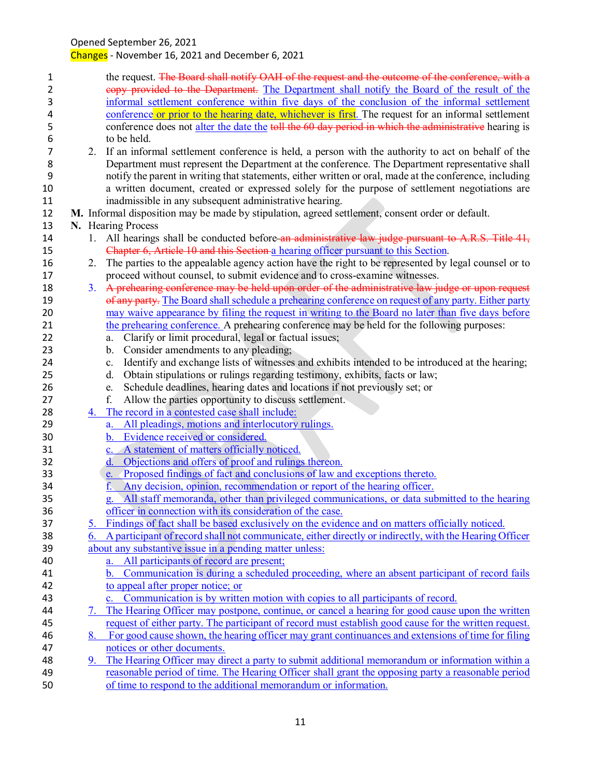| copy provided to the Department. The Department shall notify the Board of the result of the<br>informal settlement conference within five days of the conclusion of the informal settlement<br>conference or prior to the hearing date, whichever is first. The request for an informal settlement<br>conference does not alter the date the toll the 60 day period in which the administrative hearing is<br>2. If an informal settlement conference is held, a person with the authority to act on behalf of the<br>Department must represent the Department at the conference. The Department representative shall<br>notify the parent in writing that statements, either written or oral, made at the conference, including<br>a written document, created or expressed solely for the purpose of settlement negotiations are<br>M. Informal disposition may be made by stipulation, agreed settlement, consent order or default.<br>All hearings shall be conducted before an administrative law judge pursuant to A.R.S. Title 41,<br>2. The parties to the appealable agency action have the right to be represented by legal counsel or to |
|-----------------------------------------------------------------------------------------------------------------------------------------------------------------------------------------------------------------------------------------------------------------------------------------------------------------------------------------------------------------------------------------------------------------------------------------------------------------------------------------------------------------------------------------------------------------------------------------------------------------------------------------------------------------------------------------------------------------------------------------------------------------------------------------------------------------------------------------------------------------------------------------------------------------------------------------------------------------------------------------------------------------------------------------------------------------------------------------------------------------------------------------------------|
|                                                                                                                                                                                                                                                                                                                                                                                                                                                                                                                                                                                                                                                                                                                                                                                                                                                                                                                                                                                                                                                                                                                                                     |
|                                                                                                                                                                                                                                                                                                                                                                                                                                                                                                                                                                                                                                                                                                                                                                                                                                                                                                                                                                                                                                                                                                                                                     |
|                                                                                                                                                                                                                                                                                                                                                                                                                                                                                                                                                                                                                                                                                                                                                                                                                                                                                                                                                                                                                                                                                                                                                     |
|                                                                                                                                                                                                                                                                                                                                                                                                                                                                                                                                                                                                                                                                                                                                                                                                                                                                                                                                                                                                                                                                                                                                                     |
|                                                                                                                                                                                                                                                                                                                                                                                                                                                                                                                                                                                                                                                                                                                                                                                                                                                                                                                                                                                                                                                                                                                                                     |
|                                                                                                                                                                                                                                                                                                                                                                                                                                                                                                                                                                                                                                                                                                                                                                                                                                                                                                                                                                                                                                                                                                                                                     |
|                                                                                                                                                                                                                                                                                                                                                                                                                                                                                                                                                                                                                                                                                                                                                                                                                                                                                                                                                                                                                                                                                                                                                     |
|                                                                                                                                                                                                                                                                                                                                                                                                                                                                                                                                                                                                                                                                                                                                                                                                                                                                                                                                                                                                                                                                                                                                                     |
|                                                                                                                                                                                                                                                                                                                                                                                                                                                                                                                                                                                                                                                                                                                                                                                                                                                                                                                                                                                                                                                                                                                                                     |
|                                                                                                                                                                                                                                                                                                                                                                                                                                                                                                                                                                                                                                                                                                                                                                                                                                                                                                                                                                                                                                                                                                                                                     |
|                                                                                                                                                                                                                                                                                                                                                                                                                                                                                                                                                                                                                                                                                                                                                                                                                                                                                                                                                                                                                                                                                                                                                     |
|                                                                                                                                                                                                                                                                                                                                                                                                                                                                                                                                                                                                                                                                                                                                                                                                                                                                                                                                                                                                                                                                                                                                                     |
|                                                                                                                                                                                                                                                                                                                                                                                                                                                                                                                                                                                                                                                                                                                                                                                                                                                                                                                                                                                                                                                                                                                                                     |
|                                                                                                                                                                                                                                                                                                                                                                                                                                                                                                                                                                                                                                                                                                                                                                                                                                                                                                                                                                                                                                                                                                                                                     |
|                                                                                                                                                                                                                                                                                                                                                                                                                                                                                                                                                                                                                                                                                                                                                                                                                                                                                                                                                                                                                                                                                                                                                     |
|                                                                                                                                                                                                                                                                                                                                                                                                                                                                                                                                                                                                                                                                                                                                                                                                                                                                                                                                                                                                                                                                                                                                                     |
| 3. A prehearing conference may be held upon order of the administrative law judge or upon request                                                                                                                                                                                                                                                                                                                                                                                                                                                                                                                                                                                                                                                                                                                                                                                                                                                                                                                                                                                                                                                   |
| of any party. The Board shall schedule a prehearing conference on request of any party. Either party                                                                                                                                                                                                                                                                                                                                                                                                                                                                                                                                                                                                                                                                                                                                                                                                                                                                                                                                                                                                                                                |
| may waive appearance by filing the request in writing to the Board no later than five days before                                                                                                                                                                                                                                                                                                                                                                                                                                                                                                                                                                                                                                                                                                                                                                                                                                                                                                                                                                                                                                                   |
| the prehearing conference. A prehearing conference may be held for the following purposes:                                                                                                                                                                                                                                                                                                                                                                                                                                                                                                                                                                                                                                                                                                                                                                                                                                                                                                                                                                                                                                                          |
|                                                                                                                                                                                                                                                                                                                                                                                                                                                                                                                                                                                                                                                                                                                                                                                                                                                                                                                                                                                                                                                                                                                                                     |
|                                                                                                                                                                                                                                                                                                                                                                                                                                                                                                                                                                                                                                                                                                                                                                                                                                                                                                                                                                                                                                                                                                                                                     |
| Identify and exchange lists of witnesses and exhibits intended to be introduced at the hearing;                                                                                                                                                                                                                                                                                                                                                                                                                                                                                                                                                                                                                                                                                                                                                                                                                                                                                                                                                                                                                                                     |
|                                                                                                                                                                                                                                                                                                                                                                                                                                                                                                                                                                                                                                                                                                                                                                                                                                                                                                                                                                                                                                                                                                                                                     |
|                                                                                                                                                                                                                                                                                                                                                                                                                                                                                                                                                                                                                                                                                                                                                                                                                                                                                                                                                                                                                                                                                                                                                     |
|                                                                                                                                                                                                                                                                                                                                                                                                                                                                                                                                                                                                                                                                                                                                                                                                                                                                                                                                                                                                                                                                                                                                                     |
|                                                                                                                                                                                                                                                                                                                                                                                                                                                                                                                                                                                                                                                                                                                                                                                                                                                                                                                                                                                                                                                                                                                                                     |
|                                                                                                                                                                                                                                                                                                                                                                                                                                                                                                                                                                                                                                                                                                                                                                                                                                                                                                                                                                                                                                                                                                                                                     |
|                                                                                                                                                                                                                                                                                                                                                                                                                                                                                                                                                                                                                                                                                                                                                                                                                                                                                                                                                                                                                                                                                                                                                     |
|                                                                                                                                                                                                                                                                                                                                                                                                                                                                                                                                                                                                                                                                                                                                                                                                                                                                                                                                                                                                                                                                                                                                                     |
|                                                                                                                                                                                                                                                                                                                                                                                                                                                                                                                                                                                                                                                                                                                                                                                                                                                                                                                                                                                                                                                                                                                                                     |
|                                                                                                                                                                                                                                                                                                                                                                                                                                                                                                                                                                                                                                                                                                                                                                                                                                                                                                                                                                                                                                                                                                                                                     |
|                                                                                                                                                                                                                                                                                                                                                                                                                                                                                                                                                                                                                                                                                                                                                                                                                                                                                                                                                                                                                                                                                                                                                     |
| All staff memoranda, other than privileged communications, or data submitted to the hearing                                                                                                                                                                                                                                                                                                                                                                                                                                                                                                                                                                                                                                                                                                                                                                                                                                                                                                                                                                                                                                                         |
|                                                                                                                                                                                                                                                                                                                                                                                                                                                                                                                                                                                                                                                                                                                                                                                                                                                                                                                                                                                                                                                                                                                                                     |
|                                                                                                                                                                                                                                                                                                                                                                                                                                                                                                                                                                                                                                                                                                                                                                                                                                                                                                                                                                                                                                                                                                                                                     |
|                                                                                                                                                                                                                                                                                                                                                                                                                                                                                                                                                                                                                                                                                                                                                                                                                                                                                                                                                                                                                                                                                                                                                     |
| Findings of fact shall be based exclusively on the evidence and on matters officially noticed.                                                                                                                                                                                                                                                                                                                                                                                                                                                                                                                                                                                                                                                                                                                                                                                                                                                                                                                                                                                                                                                      |
| 6. A participant of record shall not communicate, either directly or indirectly, with the Hearing Officer                                                                                                                                                                                                                                                                                                                                                                                                                                                                                                                                                                                                                                                                                                                                                                                                                                                                                                                                                                                                                                           |
|                                                                                                                                                                                                                                                                                                                                                                                                                                                                                                                                                                                                                                                                                                                                                                                                                                                                                                                                                                                                                                                                                                                                                     |
|                                                                                                                                                                                                                                                                                                                                                                                                                                                                                                                                                                                                                                                                                                                                                                                                                                                                                                                                                                                                                                                                                                                                                     |
| Communication is during a scheduled proceeding, where an absent participant of record fails                                                                                                                                                                                                                                                                                                                                                                                                                                                                                                                                                                                                                                                                                                                                                                                                                                                                                                                                                                                                                                                         |
|                                                                                                                                                                                                                                                                                                                                                                                                                                                                                                                                                                                                                                                                                                                                                                                                                                                                                                                                                                                                                                                                                                                                                     |
|                                                                                                                                                                                                                                                                                                                                                                                                                                                                                                                                                                                                                                                                                                                                                                                                                                                                                                                                                                                                                                                                                                                                                     |
| 7. The Hearing Officer may postpone, continue, or cancel a hearing for good cause upon the written                                                                                                                                                                                                                                                                                                                                                                                                                                                                                                                                                                                                                                                                                                                                                                                                                                                                                                                                                                                                                                                  |
| request of either party. The participant of record must establish good cause for the written request.                                                                                                                                                                                                                                                                                                                                                                                                                                                                                                                                                                                                                                                                                                                                                                                                                                                                                                                                                                                                                                               |
| 8. For good cause shown, the hearing officer may grant continuances and extensions of time for filing                                                                                                                                                                                                                                                                                                                                                                                                                                                                                                                                                                                                                                                                                                                                                                                                                                                                                                                                                                                                                                               |
|                                                                                                                                                                                                                                                                                                                                                                                                                                                                                                                                                                                                                                                                                                                                                                                                                                                                                                                                                                                                                                                                                                                                                     |
| The Hearing Officer may direct a party to submit additional memorandum or information within a<br>reasonable period of time. The Hearing Officer shall grant the opposing party a reasonable period                                                                                                                                                                                                                                                                                                                                                                                                                                                                                                                                                                                                                                                                                                                                                                                                                                                                                                                                                 |
|                                                                                                                                                                                                                                                                                                                                                                                                                                                                                                                                                                                                                                                                                                                                                                                                                                                                                                                                                                                                                                                                                                                                                     |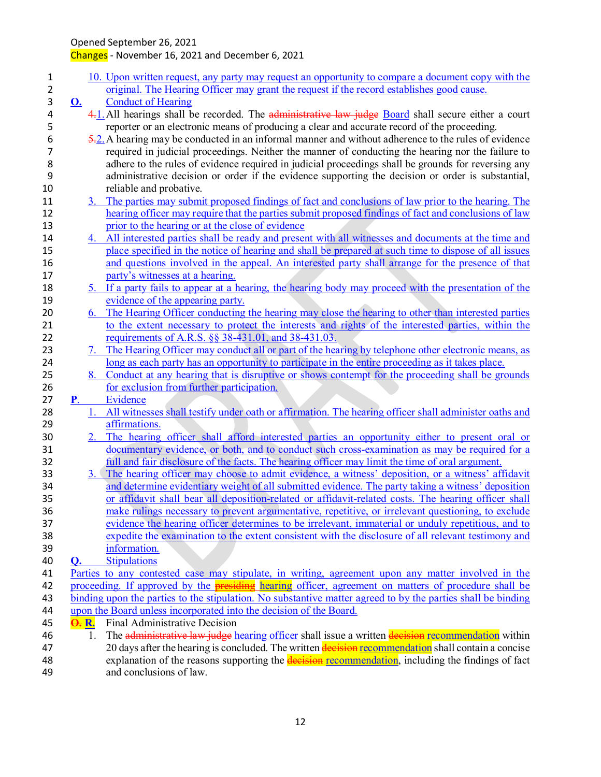| $\mathbf{1}$ |                  |    | 10. Upon written request, any party may request an opportunity to compare a document copy with the                                              |
|--------------|------------------|----|-------------------------------------------------------------------------------------------------------------------------------------------------|
| 2            |                  |    | original. The Hearing Officer may grant the request if the record establishes good cause.                                                       |
| 3            | <u>O.</u>        |    | <b>Conduct of Hearing</b>                                                                                                                       |
| 4            |                  |    | 4.1. All hearings shall be recorded. The administrative law judge Board shall secure either a court                                             |
| 5            |                  |    | reporter or an electronic means of producing a clear and accurate record of the proceeding.                                                     |
| 6            |                  |    | $\frac{5.2}{2}$ . A hearing may be conducted in an informal manner and without adherence to the rules of evidence                               |
| 7            |                  |    | required in judicial proceedings. Neither the manner of conducting the hearing nor the failure to                                               |
| 8            |                  |    | adhere to the rules of evidence required in judicial proceedings shall be grounds for reversing any                                             |
| 9            |                  |    | administrative decision or order if the evidence supporting the decision or order is substantial,                                               |
| 10           |                  |    | reliable and probative.                                                                                                                         |
| 11           |                  |    | 3. The parties may submit proposed findings of fact and conclusions of law prior to the hearing. The                                            |
| 12           |                  |    | hearing officer may require that the parties submit proposed findings of fact and conclusions of law                                            |
| 13           |                  |    | prior to the hearing or at the close of evidence                                                                                                |
| 14           |                  |    | 4. All interested parties shall be ready and present with all witnesses and documents at the time and                                           |
| 15           |                  |    | place specified in the notice of hearing and shall be prepared at such time to dispose of all issues                                            |
| 16           |                  |    | and questions involved in the appeal. An interested party shall arrange for the presence of that                                                |
| 17           |                  |    | party's witnesses at a hearing.                                                                                                                 |
| 18           |                  |    | 5. If a party fails to appear at a hearing, the hearing body may proceed with the presentation of the                                           |
| 19           |                  |    | evidence of the appearing party.                                                                                                                |
| 20           |                  |    | 6. The Hearing Officer conducting the hearing may close the hearing to other than interested parties                                            |
| 21           |                  |    | to the extent necessary to protect the interests and rights of the interested parties, within the                                               |
| 22           |                  |    | requirements of A.R.S. §§ 38-431.01, and 38-431.03.                                                                                             |
| 23           |                  |    | 7. The Hearing Officer may conduct all or part of the hearing by telephone other electronic means, as                                           |
| 24           |                  |    | long as each party has an opportunity to participate in the entire proceeding as it takes place.                                                |
| 25           |                  |    | 8. Conduct at any hearing that is disruptive or shows contempt for the proceeding shall be grounds<br>for exclusion from further participation. |
| 26<br>27     | $P_{\rm c}$      |    | Evidence                                                                                                                                        |
| 28           |                  |    | All witnesses shall testify under oath or affirmation. The hearing officer shall administer oaths and                                           |
| 29           |                  |    | affirmations.                                                                                                                                   |
| 30           |                  |    | 2. The hearing officer shall afford interested parties an opportunity either to present oral or                                                 |
| 31           |                  |    | documentary evidence, or both, and to conduct such cross-examination as may be required for a                                                   |
| 32           |                  |    | full and fair disclosure of the facts. The hearing officer may limit the time of oral argument.                                                 |
| 33           |                  |    | 3. The hearing officer may choose to admit evidence, a witness' deposition, or a witness' affidavit                                             |
| 34           |                  |    | and determine evidentiary weight of all submitted evidence. The party taking a witness' deposition                                              |
| 35           |                  |    | or affidavit shall bear all deposition-related or affidavit-related costs. The hearing officer shall                                            |
| 36           |                  |    | make rulings necessary to prevent argumentative, repetitive, or irrelevant questioning, to exclude                                              |
| 37           |                  |    | evidence the hearing officer determines to be irrelevant, immaterial or unduly repetitious, and to                                              |
| 38           |                  |    | expedite the examination to the extent consistent with the disclosure of all relevant testimony and                                             |
| 39           |                  |    | information.                                                                                                                                    |
| 40           | $\mathbf{0}$ .   |    | <b>Stipulations</b>                                                                                                                             |
| 41           |                  |    | Parties to any contested case may stipulate, in writing, agreement upon any matter involved in the                                              |
| 42           |                  |    | proceeding. If approved by the <b>presiding</b> hearing officer, agreement on matters of procedure shall be                                     |
| 43           |                  |    | binding upon the parties to the stipulation. No substantive matter agreed to by the parties shall be binding                                    |
| 44           |                  |    | upon the Board unless incorporated into the decision of the Board.                                                                              |
| 45           | <del>O.</del> R. |    | Final Administrative Decision                                                                                                                   |
| 46           |                  | 1. | The administrative law judge hearing officer shall issue a written decision recommendation within                                               |
| 47           |                  |    | 20 days after the hearing is concluded. The written decision recommendation shall contain a concise                                             |
| 48           |                  |    | explanation of the reasons supporting the <b>decision</b> recommendation, including the findings of fact                                        |
| 49           |                  |    | and conclusions of law.                                                                                                                         |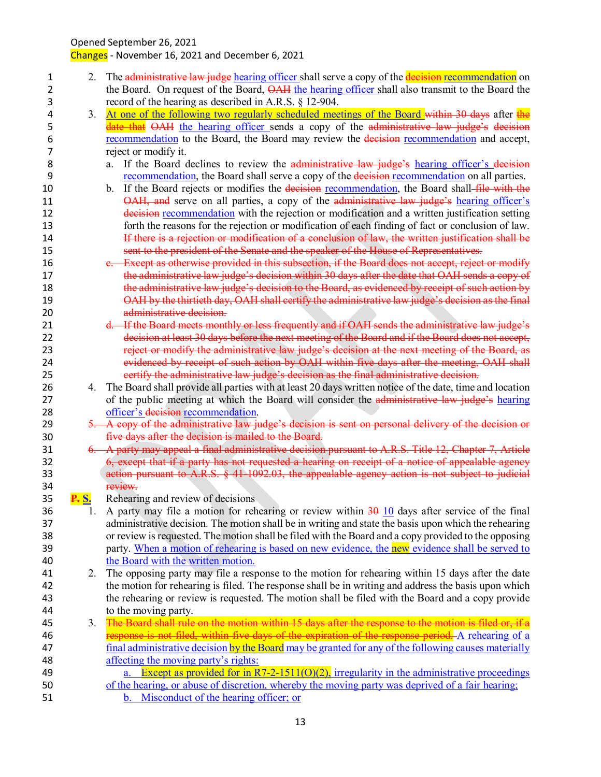| 1  | 2.           | The administrative law judge hearing officer shall serve a copy of the decision recommendation on             |
|----|--------------|---------------------------------------------------------------------------------------------------------------|
| 2  |              | the Board. On request of the Board, <b>OAH</b> the hearing officer shall also transmit to the Board the       |
| 3  |              | record of the hearing as described in A.R.S. § 12-904.                                                        |
| 4  | 3.           | At one of the following two regularly scheduled meetings of the Board within 30 days after the                |
| 5  |              | date that OAH the hearing officer sends a copy of the administrative law judge's decision                     |
| 6  |              | recommendation to the Board, the Board may review the decision recommendation and accept,                     |
| 7  |              | reject or modify it.                                                                                          |
| 8  |              | If the Board declines to review the administrative law judge's hearing officer's decision<br>a.               |
| 9  |              | recommendation, the Board shall serve a copy of the decision recommendation on all parties.                   |
| 10 |              | If the Board rejects or modifies the decision recommendation, the Board shall-file with the<br>$\mathbf{b}$ . |
| 11 |              | OAH, and serve on all parties, a copy of the administrative law judge's hearing officer's                     |
| 12 |              | decision recommendation with the rejection or modification and a written justification setting                |
| 13 |              | forth the reasons for the rejection or modification of each finding of fact or conclusion of law.             |
| 14 |              | If there is a rejection or modification of a conclusion of law, the written justification shall be            |
| 15 |              | sent to the president of the Senate and the speaker of the House of Representatives.                          |
| 16 |              | e. Except as otherwise provided in this subsection, if the Board does not accept, reject or modify            |
| 17 |              | the administrative law judge's decision within 30 days after the date that OAH sends a copy of                |
| 18 |              | the administrative law judge's decision to the Board, as evidenced by receipt of such action by               |
| 19 |              | OAH by the thirtieth day, OAH shall certify the administrative law judge's decision as the final              |
| 20 |              | administrative decision.                                                                                      |
| 21 |              | d. If the Board meets monthly or less frequently and if OAH sends the administrative law judge's              |
| 22 |              | decision at least 30 days before the next meeting of the Board and if the Board does not accept,              |
| 23 |              | reject or modify the administrative law judge's decision at the next meeting of the Board, as                 |
| 24 |              | evidenced by receipt of such action by OAH within five days after the meeting, OAH shall                      |
| 25 |              | eertify the administrative law judge's decision as the final administrative decision.                         |
| 26 | 4.           | The Board shall provide all parties with at least 20 days written notice of the date, time and location       |
| 27 |              | of the public meeting at which the Board will consider the administrative law judge's hearing                 |
| 28 |              | officer's decision recommendation.                                                                            |
| 29 |              | 5. A copy of the administrative law judge's decision is sent on personal delivery of the decision or          |
| 30 |              | five days after the decision is mailed to the Board.                                                          |
| 31 |              | 6. A party may appeal a final administrative decision pursuant to A.R.S. Title 12, Chapter 7, Article         |
| 32 |              | 6, except that if a party has not requested a hearing on receipt of a notice of appealable agency             |
| 33 |              | action pursuant to A.R.S. § 41-1092.03, the appealable agency action is not subject to judicial               |
| 34 |              | review.                                                                                                       |
| 35 | <u>P. S.</u> | Rehearing and review of decisions                                                                             |
| 36 |              | A party may file a motion for rehearing or review within $\frac{30}{10}$ days after service of the final      |
| 37 |              | administrative decision. The motion shall be in writing and state the basis upon which the rehearing          |
| 38 |              | or review is requested. The motion shall be filed with the Board and a copy provided to the opposing          |
| 39 |              | party. When a motion of rehearing is based on new evidence, the new evidence shall be served to               |
| 40 |              | the Board with the written motion.                                                                            |
| 41 | 2.           | The opposing party may file a response to the motion for rehearing within 15 days after the date              |
| 42 |              | the motion for rehearing is filed. The response shall be in writing and address the basis upon which          |
| 43 |              | the rehearing or review is requested. The motion shall be filed with the Board and a copy provide             |
| 44 |              | to the moving party.                                                                                          |
| 45 | 3.           | The Board shall rule on the motion within 15 days after the response to the motion is filed or, if a          |
| 46 |              | response is not filed, within five days of the expiration of the response period. A rehearing of a            |
| 47 |              | final administrative decision by the Board may be granted for any of the following causes materially          |
| 48 |              | affecting the moving party's rights:                                                                          |
| 49 |              | a. Except as provided for in $R7-2-1511(0)(2)$ , irregularity in the administrative proceedings               |
| 50 |              | of the hearing, or abuse of discretion, whereby the moving party was deprived of a fair hearing;              |
| 51 |              | b. Misconduct of the hearing officer; or                                                                      |
|    |              |                                                                                                               |